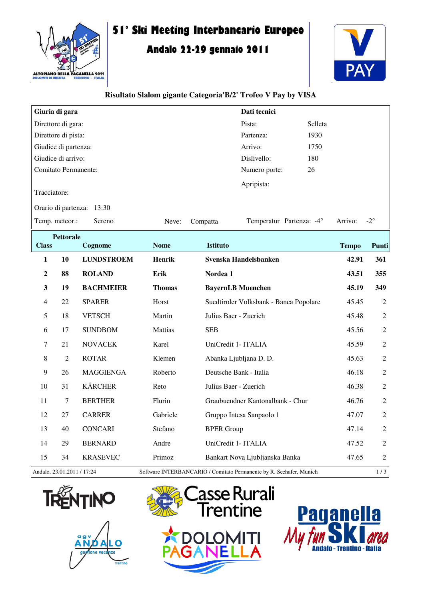

# **51° Ski Meeting Interbancario Europeo**

## **Andalo 22-29 gennaio 2011**



#### **Risultato Slalom gigante Categoria'B/2' Trofeo V Pay by VISA**

|                          |                   |                                                                                                                              |                      | Dati tecnici    |                                                                                                                                                                                                                                                        |                                                                                                                                          |                |
|--------------------------|-------------------|------------------------------------------------------------------------------------------------------------------------------|----------------------|-----------------|--------------------------------------------------------------------------------------------------------------------------------------------------------------------------------------------------------------------------------------------------------|------------------------------------------------------------------------------------------------------------------------------------------|----------------|
| Direttore di gara:       |                   |                                                                                                                              | Pista:               | Selleta         |                                                                                                                                                                                                                                                        |                                                                                                                                          |                |
| Direttore di pista:      |                   |                                                                                                                              | Partenza:            | 1930            |                                                                                                                                                                                                                                                        |                                                                                                                                          |                |
|                          |                   |                                                                                                                              |                      | Arrivo:         | 1750                                                                                                                                                                                                                                                   |                                                                                                                                          |                |
|                          |                   |                                                                                                                              |                      | Dislivello:     | 180                                                                                                                                                                                                                                                    |                                                                                                                                          |                |
|                          |                   |                                                                                                                              |                      | Numero porte:   | 26                                                                                                                                                                                                                                                     |                                                                                                                                          |                |
|                          |                   |                                                                                                                              |                      | Apripista:      |                                                                                                                                                                                                                                                        |                                                                                                                                          |                |
| Tracciatore:             |                   |                                                                                                                              |                      |                 |                                                                                                                                                                                                                                                        |                                                                                                                                          |                |
|                          |                   |                                                                                                                              |                      |                 |                                                                                                                                                                                                                                                        |                                                                                                                                          |                |
| Temp. meteor.:<br>Sereno |                   |                                                                                                                              | Compatta             |                 |                                                                                                                                                                                                                                                        | Arrivo:                                                                                                                                  | $-2^{\circ}$   |
| <b>Pettorale</b>         |                   |                                                                                                                              |                      |                 |                                                                                                                                                                                                                                                        |                                                                                                                                          |                |
|                          |                   |                                                                                                                              |                      |                 |                                                                                                                                                                                                                                                        |                                                                                                                                          | Punti          |
| 10                       | <b>LUNDSTROEM</b> | <b>Henrik</b>                                                                                                                |                      |                 |                                                                                                                                                                                                                                                        | 42.91                                                                                                                                    | 361            |
| 88                       | <b>ROLAND</b>     | Erik                                                                                                                         | Nordea 1             |                 |                                                                                                                                                                                                                                                        | 43.51                                                                                                                                    | 355            |
| 19                       | <b>BACHMEIER</b>  | <b>Thomas</b>                                                                                                                |                      |                 |                                                                                                                                                                                                                                                        | 45.19                                                                                                                                    | 349            |
| 22                       | <b>SPARER</b>     | Horst                                                                                                                        |                      |                 |                                                                                                                                                                                                                                                        | 45.45                                                                                                                                    | 2              |
| 18                       | <b>VETSCH</b>     | Martin                                                                                                                       |                      |                 |                                                                                                                                                                                                                                                        | 45.48                                                                                                                                    | $\overline{2}$ |
| 17                       | <b>SUNDBOM</b>    | Mattias                                                                                                                      | <b>SEB</b>           |                 |                                                                                                                                                                                                                                                        | 45.56                                                                                                                                    | $\overline{2}$ |
| 21                       | <b>NOVACEK</b>    | Karel                                                                                                                        |                      |                 |                                                                                                                                                                                                                                                        | 45.59                                                                                                                                    | 2              |
| $\overline{2}$           | <b>ROTAR</b>      | Klemen                                                                                                                       |                      |                 |                                                                                                                                                                                                                                                        | 45.63                                                                                                                                    | $\overline{2}$ |
| 26                       | <b>MAGGIENGA</b>  | Roberto                                                                                                                      |                      |                 |                                                                                                                                                                                                                                                        | 46.18                                                                                                                                    | $\overline{2}$ |
| 31                       | <b>KÄRCHER</b>    | Reto                                                                                                                         |                      |                 |                                                                                                                                                                                                                                                        | 46.38                                                                                                                                    | $\overline{2}$ |
| 7                        | <b>BERTHER</b>    | Flurin                                                                                                                       |                      |                 |                                                                                                                                                                                                                                                        | 46.76                                                                                                                                    | $\overline{2}$ |
| 27                       | <b>CARRER</b>     | Gabriele                                                                                                                     |                      |                 |                                                                                                                                                                                                                                                        | 47.07                                                                                                                                    | $\overline{2}$ |
| 40                       | <b>CONCARI</b>    | Stefano                                                                                                                      |                      |                 |                                                                                                                                                                                                                                                        | 47.14                                                                                                                                    | $\overline{2}$ |
| 29                       | <b>BERNARD</b>    | Andre                                                                                                                        |                      |                 |                                                                                                                                                                                                                                                        | 47.52                                                                                                                                    | 2              |
| 34                       | <b>KRASEVEC</b>   | Primoz                                                                                                                       |                      |                 |                                                                                                                                                                                                                                                        | 47.65                                                                                                                                    | $\sqrt{2}$     |
|                          |                   | Giuria di gara<br>Giudice di partenza:<br>Giudice di arrivo:<br>Comitato Permanente:<br>Orario di partenza: 13:30<br>Cognome | Neve:<br><b>Nome</b> | <b>Istituto</b> | Svenska Handelsbanken<br><b>BayernLB Muenchen</b><br>Julius Baer - Zuerich<br>UniCredit 1- ITALIA<br>Abanka Ljubljana D. D.<br>Deutsche Bank - Italia<br>Julius Baer - Zuerich<br>Gruppo Intesa Sanpaolo 1<br><b>BPER Group</b><br>UniCredit 1- ITALIA | Temperatur Partenza: -4°<br>Suedtiroler Volksbank - Banca Popolare<br>Graubuendner Kantonalbank - Chur<br>Bankart Nova Ljubljanska Banka | <b>Tempo</b>   |

Andalo, 23.01.2011 / 17:24 Software INTERBANCARIO / Comitato Permanente by R. Seehafer, Munich 1 / 3







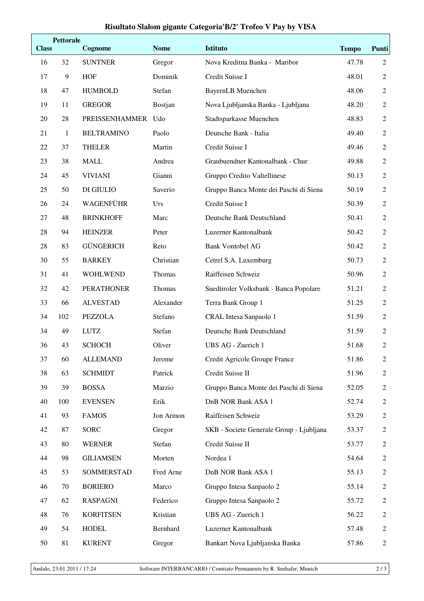### **Risultato Slalom gigante Categoria'B/2' Trofeo V Pay by VISA**

| <b>Class</b> | <b>Pettorale</b> | Cognome            | <b>Nome</b> | <b>Istituto</b>                          | <b>Tempo</b> | <b>Punti</b>   |
|--------------|------------------|--------------------|-------------|------------------------------------------|--------------|----------------|
| 16           | 32               | <b>SUNTNER</b>     | Gregor      | Nova Kreditna Banka - Maribor            | 47.78        | 2              |
| 17           | 9                | <b>HOF</b>         | Dominik     | Credit Suisse I                          | 48.01        | $\overline{2}$ |
| 18           | 47               | <b>HUMBOLD</b>     | Stefan      | <b>BayernLB</b> Muenchen                 | 48.06        | $\overline{2}$ |
| 19           | 11               | <b>GREGOR</b>      | Bostjan     | Nova Ljubljanska Banka - Ljubljana       | 48.20        | $\mathbf{2}$   |
| 20           | 28               | PREISSENHAMMER Udo |             | Stadtsparkasse Muenchen                  | 48.83        | $\sqrt{2}$     |
| 21           | $\mathbf{1}$     | <b>BELTRAMINO</b>  | Paolo       | Deutsche Bank - Italia                   | 49.40        | $\mathbf{2}$   |
| 22           | 37               | <b>THELER</b>      | Martin      | Credit Suisse I                          | 49.46        | $\overline{2}$ |
| 23           | 38               | <b>MALL</b>        | Andrea      | Graubuendner Kantonalbank - Chur         | 49.88        | $\mathbf{2}$   |
| 24           | 45               | <b>VIVIANI</b>     | Gianni      | Gruppo Credito Valtellinese              | 50.13        | $\overline{2}$ |
| 25           | 50               | DI GIULIO          | Saverio     | Gruppo Banca Monte dei Paschi di Siena   | 50.19        | $\overline{2}$ |
| 26           | 24               | <b>WAGENFÜHR</b>   | Urs         | Credit Suisse I                          | 50.39        | $\mathbf{2}$   |
| 27           | 48               | <b>BRINKHOFF</b>   | Marc        | Deutsche Bank Deutschland                | 50.41        | $\sqrt{2}$     |
| 28           | 94               | <b>HEINZER</b>     | Peter       | Luzerner Kantonalbank                    | 50.42        | $\mathbf{2}$   |
| 28           | 83               | <b>GÜNGERICH</b>   | Reto        | <b>Bank Vontobel AG</b>                  | 50.42        | $\overline{2}$ |
| 30           | 55               | <b>BARKEY</b>      | Christian   | Cetrel S.A. Luxemburg                    | 50.73        | $\overline{2}$ |
| 31           | 41               | <b>WOHLWEND</b>    | Thomas      | Raiffeisen Schweiz                       | 50.96        | $\overline{2}$ |
| 32           | 42               | <b>PERATHONER</b>  | Thomas      | Suedtiroler Volksbank - Banca Popolare   | 51.21        | $\overline{2}$ |
| 33           | 66               | <b>ALVESTAD</b>    | Alexander   | Terra Bank Group 1                       | 51.25        | $\mathbf{2}$   |
| 34           | 102              | <b>PEZZOLA</b>     | Stefano     | CRAL Intesa Sanpaolo 1                   | 51.59        | $\mathbf{2}$   |
| 34           | 49               | <b>LUTZ</b>        | Stefan      | Deutsche Bank Deutschland                | 51.59        | $\mathbf{2}$   |
| 36           | 43               | <b>SCHOCH</b>      | Oliver      | UBS AG - Zuerich 1                       | 51.68        | $\sqrt{2}$     |
| 37           | 60               | <b>ALLEMAND</b>    | Jerome      | Credit Agricole Groupe France            | 51.86        | $\sqrt{2}$     |
| 38           | 63               | <b>SCHMIDT</b>     | Patrick     | Credit Suisse II                         | 51.96        | $\overline{2}$ |
| 39           | 39               | <b>BOSSA</b>       | Marzio      | Gruppo Banca Monte dei Paschi di Siena   | 52.05        | 2              |
| 40           | 100              | <b>EVENSEN</b>     | Erik        | DnB NOR Bank ASA 1                       | 52.74        | $\overline{2}$ |
| 41           | 93               | <b>FAMOS</b>       | Jon Armon   | Raiffeisen Schweiz                       | 53.29        | 2              |
| 42           | 87               | <b>SORC</b>        | Gregor      | SKB - Societe Generale Group - Ljubljana | 53.37        | 2              |
| 43           | 80               | <b>WERNER</b>      | Stefan      | Credit Suisse II                         | 53.77        | 2              |
| 44           | 98               | <b>GILIAMSEN</b>   | Morten      | Nordea 1                                 | 54.64        | 2              |
| 45           | 53               | SOMMERSTAD         | Fred Arne   | DnB NOR Bank ASA 1                       | 55.13        | $\overline{2}$ |
| 46           | 70               | <b>BORIERO</b>     | Marco       | Gruppo Intesa Sanpaolo 2                 | 55.14        | $\overline{2}$ |
| 47           | 62               | <b>RASPAGNI</b>    | Federico    | Gruppo Intesa Sanpaolo 2                 | 55.72        | $\overline{2}$ |
| 48           | 76               | <b>KORFITSEN</b>   | Kristian    | UBS AG - Zuerich 1                       | 56.22        | $\overline{2}$ |
| 49           | 54               | <b>HODEL</b>       | Bernhard    | Luzerner Kantonalbank                    | 57.48        | $\overline{2}$ |
| 50           | 81               | <b>KURENT</b>      | Gregor      | Bankart Nova Ljubljanska Banka           | 57.86        | $\overline{2}$ |